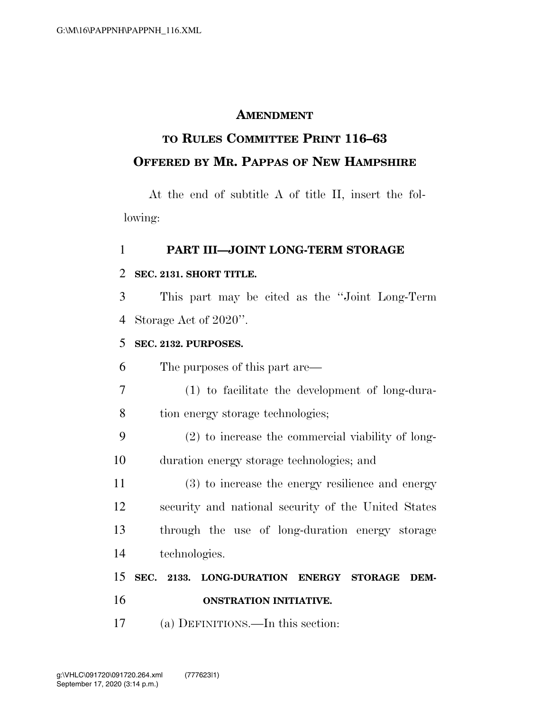#### **AMENDMENT**

## **TO RULES COMMITTEE PRINT 116–63 OFFERED BY MR. PAPPAS OF NEW HAMPSHIRE**

At the end of subtitle A of title II, insert the following:

#### **PART III—JOINT LONG-TERM STORAGE**

#### **SEC. 2131. SHORT TITLE.**

 This part may be cited as the ''Joint Long-Term Storage Act of 2020''.

#### **SEC. 2132. PURPOSES.**

The purposes of this part are—

- (1) to facilitate the development of long-dura-8 tion energy storage technologies;
- (2) to increase the commercial viability of long-duration energy storage technologies; and

 (3) to increase the energy resilience and energy security and national security of the United States through the use of long-duration energy storage technologies.

### **SEC. 2133. LONG-DURATION ENERGY STORAGE DEM-ONSTRATION INITIATIVE.**

(a) DEFINITIONS.—In this section: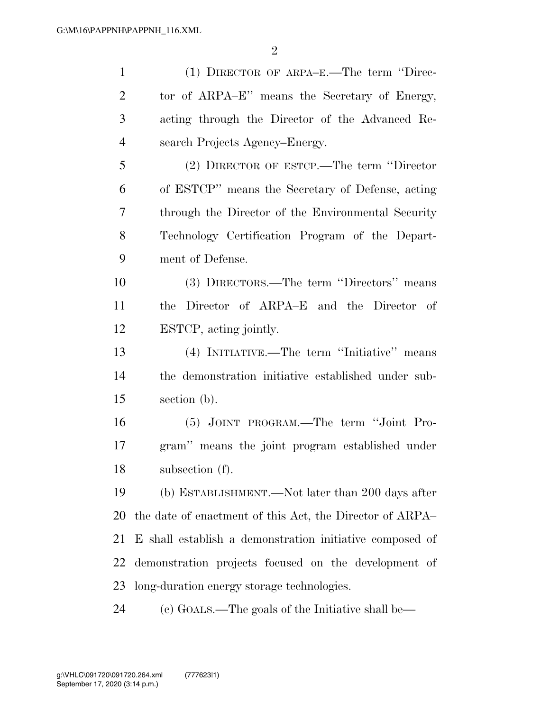$\mathfrak{D}$ 

 (1) DIRECTOR OF ARPA–E.—The term ''Direc- tor of ARPA–E'' means the Secretary of Energy, acting through the Director of the Advanced Re- search Projects Agency–Energy. (2) DIRECTOR OF ESTCP.—The term ''Director of ESTCP'' means the Secretary of Defense, acting through the Director of the Environmental Security Technology Certification Program of the Depart- ment of Defense. (3) DIRECTORS.—The term ''Directors'' means the Director of ARPA–E and the Director of ESTCP, acting jointly. (4) INITIATIVE.—The term ''Initiative'' means the demonstration initiative established under sub- section (b). (5) JOINT PROGRAM.—The term ''Joint Pro- gram'' means the joint program established under subsection (f). (b) ESTABLISHMENT.—Not later than 200 days after the date of enactment of this Act, the Director of ARPA– E shall establish a demonstration initiative composed of demonstration projects focused on the development of long-duration energy storage technologies. (c) GOALS.—The goals of the Initiative shall be—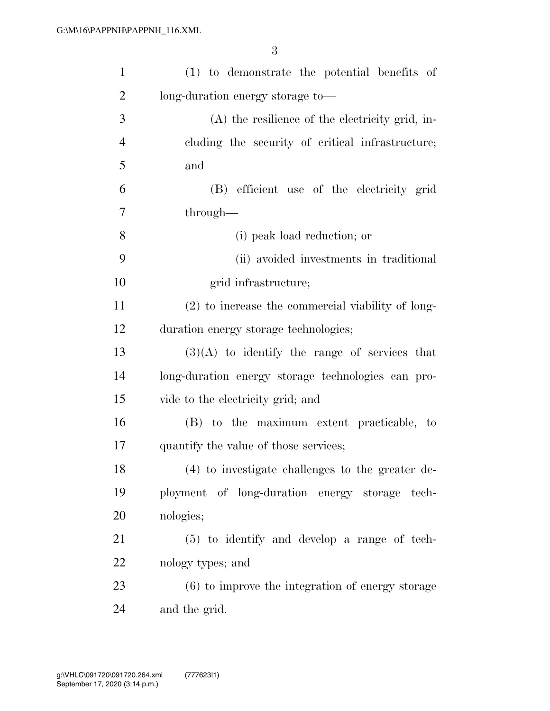| $\mathbf{1}$   | (1) to demonstrate the potential benefits of       |
|----------------|----------------------------------------------------|
| $\overline{2}$ | long-duration energy storage to-                   |
| 3              | $(A)$ the resilience of the electricity grid, in-  |
| $\overline{4}$ | cluding the security of critical infrastructure;   |
| 5              | and                                                |
| 6              | (B) efficient use of the electricity grid          |
| 7              | through—                                           |
| 8              | (i) peak load reduction; or                        |
| 9              | (ii) avoided investments in traditional            |
| 10             | grid infrastructure;                               |
| 11             | (2) to increase the commercial viability of long-  |
| 12             | duration energy storage technologies;              |
| 13             | $(3)(A)$ to identify the range of services that    |
| 14             | long-duration energy storage technologies can pro- |
| 15             | vide to the electricity grid; and                  |
| 16             | (B) to the maximum extent practicable, to          |
| 17             | quantify the value of those services;              |
| 18             | (4) to investigate challenges to the greater de-   |
| 19             | ployment of long-duration energy storage tech-     |
| 20             | nologies;                                          |
| 21             | $(5)$ to identify and develop a range of tech-     |
| 22             | nology types; and                                  |
| 23             | $(6)$ to improve the integration of energy storage |
| 24             | and the grid.                                      |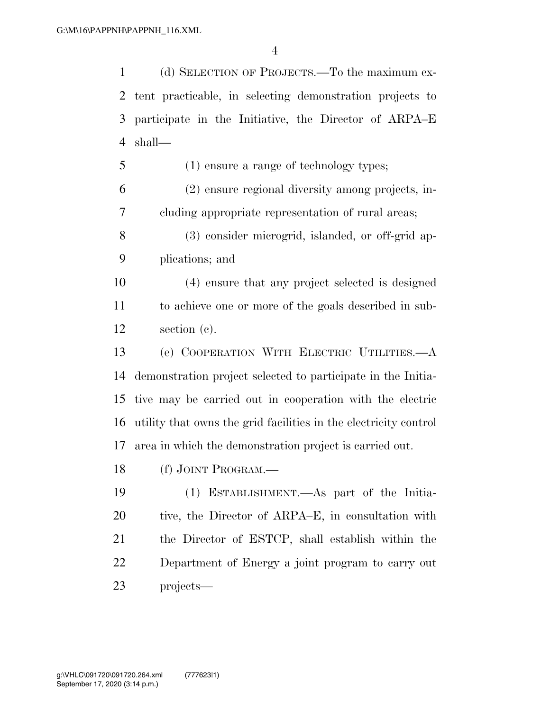(d) SELECTION OF PROJECTS.—To the maximum ex- tent practicable, in selecting demonstration projects to participate in the Initiative, the Director of ARPA–E shall—

(1) ensure a range of technology types;

 (2) ensure regional diversity among projects, in-cluding appropriate representation of rural areas;

 (3) consider microgrid, islanded, or off-grid ap-plications; and

 (4) ensure that any project selected is designed to achieve one or more of the goals described in sub-section (c).

 (e) COOPERATION WITH ELECTRIC UTILITIES.—A demonstration project selected to participate in the Initia- tive may be carried out in cooperation with the electric utility that owns the grid facilities in the electricity control area in which the demonstration project is carried out.

(f) JOINT PROGRAM.—

 (1) ESTABLISHMENT.—As part of the Initia-20 tive, the Director of ARPA–E, in consultation with the Director of ESTCP, shall establish within the Department of Energy a joint program to carry out projects—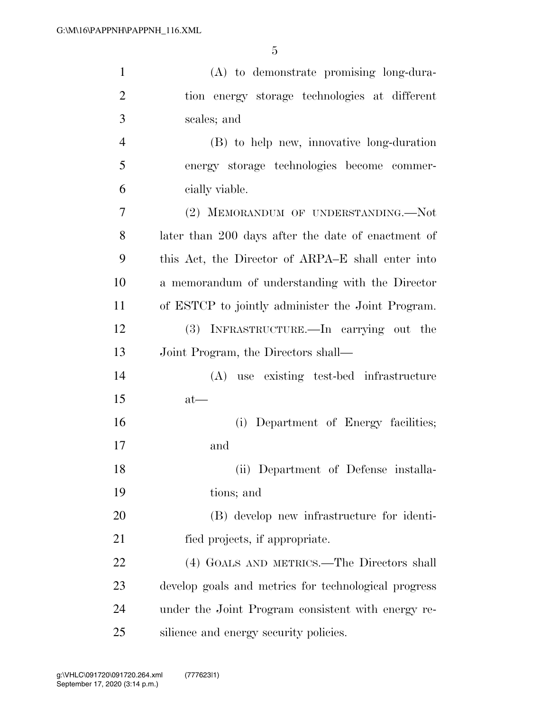| $\mathbf{1}$   | (A) to demonstrate promising long-dura-              |
|----------------|------------------------------------------------------|
| $\overline{2}$ | tion energy storage technologies at different        |
| 3              | scales; and                                          |
| $\overline{4}$ | (B) to help new, innovative long-duration            |
| 5              | energy storage technologies become commer-           |
| 6              | cially viable.                                       |
| 7              | (2) MEMORANDUM OF UNDERSTANDING.-Not                 |
| 8              | later than 200 days after the date of enactment of   |
| 9              | this Act, the Director of ARPA–E shall enter into    |
| 10             | a memorandum of understanding with the Director      |
| 11             | of ESTCP to jointly administer the Joint Program.    |
| 12             | (3) INFRASTRUCTURE.—In carrying out the              |
| 13             | Joint Program, the Directors shall—                  |
| 14             | (A) use existing test-bed infrastructure             |
| 15             | $at$ —                                               |
| 16             | Department of Energy facilities;<br>(i)              |
| 17             | and                                                  |
| 18             | (ii) Department of Defense installa-                 |
| 19             | tions; and                                           |
| 20             | (B) develop new infrastructure for identi-           |
| 21             | fied projects, if appropriate.                       |
| 22             | (4) GOALS AND METRICS.—The Directors shall           |
| 23             | develop goals and metrics for technological progress |
| 24             | under the Joint Program consistent with energy re-   |
| 25             | silience and energy security policies.               |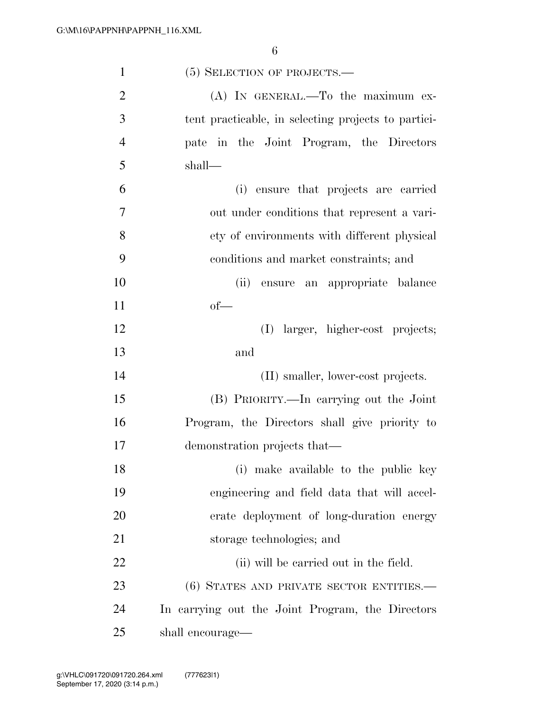| $\mathbf{1}$   | $(5)$ SELECTION OF PROJECTS.—                       |
|----------------|-----------------------------------------------------|
| $\overline{2}$ | $(A)$ IN GENERAL.—To the maximum ex-                |
| 3              | tent practicable, in selecting projects to partici- |
| $\overline{4}$ | pate in the Joint Program, the Directors            |
| 5              | shall—                                              |
| 6              | ensure that projects are carried<br>(i)             |
| 7              | out under conditions that represent a vari-         |
| 8              | ety of environments with different physical         |
| 9              | conditions and market constraints; and              |
| 10             | (ii)<br>ensure an appropriate balance               |
| 11             | $of$ —                                              |
| 12             | (I) larger, higher-cost projects;                   |
| 13             | and                                                 |
| 14             | (II) smaller, lower-cost projects.                  |
| 15             | (B) PRIORITY.—In carrying out the Joint             |
| 16             | Program, the Directors shall give priority to       |
| 17             | demonstration projects that—                        |
| 18             | (i) make available to the public key                |
| 19             | engineering and field data that will accel-         |
| 20             | erate deployment of long-duration energy            |
| 21             | storage technologies; and                           |
| 22             | (ii) will be carried out in the field.              |
| 23             | (6) STATES AND PRIVATE SECTOR ENTITIES.—            |
| 24             | In carrying out the Joint Program, the Directors    |
| 25             | shall encourage—                                    |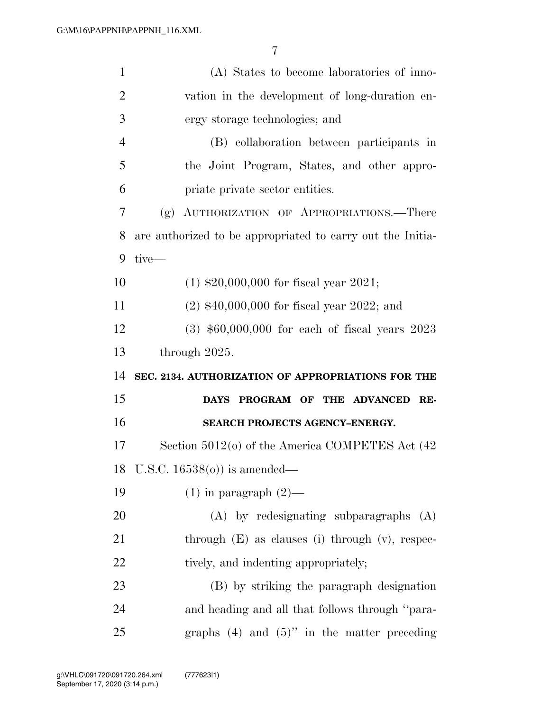| $\mathbf{1}$   | (A) States to become laboratories of inno-                 |
|----------------|------------------------------------------------------------|
| $\overline{2}$ | vation in the development of long-duration en-             |
| 3              | ergy storage technologies; and                             |
| $\overline{4}$ | (B) collaboration between participants in                  |
| 5              | the Joint Program, States, and other appro-                |
| 6              | priate private sector entities.                            |
| 7              | AUTHORIZATION OF APPROPRIATIONS.—There<br>(g)              |
| 8              | are authorized to be appropriated to carry out the Initia- |
| 9              | tive—                                                      |
| 10             | $(1)$ \$20,000,000 for fiscal year 2021;                   |
| 11             | $(2)$ \$40,000,000 for fiscal year 2022; and               |
| 12             | $(3)$ \$60,000,000 for each of fiscal years 2023           |
| 13             | through 2025.                                              |
|                |                                                            |
| 14             | SEC. 2134. AUTHORIZATION OF APPROPRIATIONS FOR THE         |
| 15             | PROGRAM OF THE ADVANCED<br><b>DAYS</b><br>RE-              |
| 16             | SEARCH PROJECTS AGENCY-ENERGY.                             |
| 17             | Section $5012$ (o) of the America COMPETES Act $(42)$      |
|                | 18 U.S.C. $16538(0)$ is amended—                           |
| 19             | $(1)$ in paragraph $(2)$ —                                 |
| 20             | $(A)$ by redesignating subparagraphs $(A)$                 |
| 21             | through $(E)$ as clauses (i) through $(v)$ , respec-       |
| 22             | tively, and indenting appropriately;                       |
| 23             | (B) by striking the paragraph designation                  |
| 24             | and heading and all that follows through "para-            |